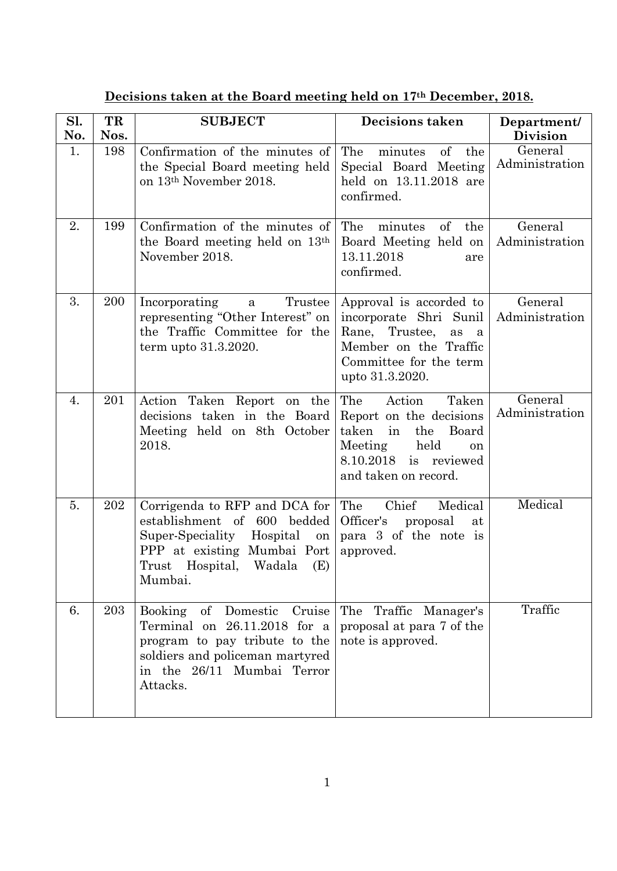| Sl.<br>No. | TR<br>Nos. | <b>SUBJECT</b>                                                                                                                                                                              | Decisions taken                                                                                                                                            | Department/<br><b>Division</b> |
|------------|------------|---------------------------------------------------------------------------------------------------------------------------------------------------------------------------------------------|------------------------------------------------------------------------------------------------------------------------------------------------------------|--------------------------------|
| 1.         | 198        | Confirmation of the minutes of<br>the Special Board meeting held<br>on 13 <sup>th</sup> November 2018.                                                                                      | The<br>minutes<br>of<br>the<br>Special Board Meeting<br>held on 13.11.2018 are<br>confirmed.                                                               | General<br>Administration      |
| 2.         | 199        | Confirmation of the minutes of<br>the Board meeting held on 13 <sup>th</sup><br>November 2018.                                                                                              | The<br>$\sigma f$<br>the<br>minutes<br>Board Meeting held on<br>13.11.2018<br>are<br>confirmed.                                                            | General<br>Administration      |
| 3.         | 200        | Incorporating<br>Trustee<br>$\mathbf{a}$<br>representing "Other Interest" on<br>the Traffic Committee for the<br>term upto 31.3.2020.                                                       | Approval is accorded to<br>incorporate Shri Sunil<br>Rane,<br>Trustee,<br>as<br>a<br>Member on the Traffic<br>Committee for the term<br>upto 31.3.2020.    | General<br>Administration      |
| 4.         | 201        | Action Taken Report on the<br>decisions taken in the Board<br>Meeting held on 8th October<br>2018.                                                                                          | The<br>Action<br>Taken<br>Report on the decisions<br>taken<br>in<br>the<br>Board<br>Meeting<br>held<br>on<br>8.10.2018 is reviewed<br>and taken on record. | General<br>Administration      |
| 5.         | 202        | Corrigenda to RFP and DCA for<br>establishment of 600 bedded<br>Super-Speciality Hospital<br>on<br>PPP at existing Mumbai Port<br>Hospital,<br>Trust<br>Wadala<br>(E)<br>Mumbai.            | The<br>Chief<br>Medical<br>Officer's<br>proposal<br>at<br>para 3 of the note is<br>approved.                                                               | Medical                        |
| 6.         | 203        | Booking<br>$\sigma f$<br>Domestic<br>Cruise<br>Terminal on $26.11.2018$ for a<br>program to pay tribute to the<br>soldiers and policeman martyred<br>in the 26/11 Mumbai Terror<br>Attacks. | The<br>Traffic<br>Manager's<br>proposal at para 7 of the<br>note is approved.                                                                              | Traffic                        |

**Decisions taken at the Board meeting held on 17th December, 2018.**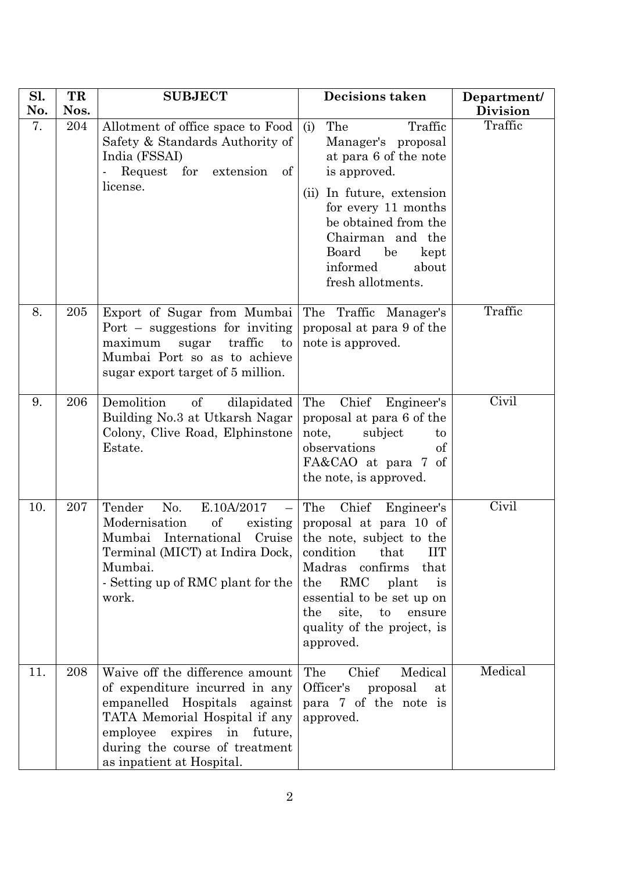| Sl.<br>No. | TR<br>Nos. | <b>SUBJECT</b>                                                                                                                                                                                                                         | <b>Decisions taken</b>                                                                                                                                                                                                                                                           | Department/<br><b>Division</b> |
|------------|------------|----------------------------------------------------------------------------------------------------------------------------------------------------------------------------------------------------------------------------------------|----------------------------------------------------------------------------------------------------------------------------------------------------------------------------------------------------------------------------------------------------------------------------------|--------------------------------|
| 7.         | 204        | Allotment of office space to Food<br>Safety & Standards Authority of<br>India (FSSAI)<br>Request for extension<br>of<br>license.                                                                                                       | The<br>Traffic<br>(i)<br>Manager's proposal<br>at para 6 of the note<br>is approved.<br>(ii) In future, extension<br>for every 11 months<br>be obtained from the<br>Chairman and the<br>Board<br>be<br>kept<br>informed<br>about<br>fresh allotments.                            | Traffic                        |
| 8.         | 205        | Export of Sugar from Mumbai<br>Port $-$ suggestions for inviting<br>traffic<br>maximum<br>sugar<br>to<br>Mumbai Port so as to achieve<br>sugar export target of 5 million.                                                             | The Traffic Manager's<br>proposal at para 9 of the<br>note is approved.                                                                                                                                                                                                          | Traffic                        |
| 9.         | 206        | Demolition<br>of<br>dilapidated<br>Building No.3 at Utkarsh Nagar<br>Colony, Clive Road, Elphinstone<br>Estate.                                                                                                                        | Chief<br>The<br>Engineer's<br>proposal at para 6 of the<br>note,<br>subject<br>to<br>observations<br>οf<br>FA&CAO at para 7 of<br>the note, is approved.                                                                                                                         | Civil                          |
| 10.        | 207        | Tender<br>E.10A/2017<br>No.<br>of<br>Modernisation<br>existing<br>Mumbai International Cruise<br>Terminal (MICT) at Indira Dock,<br>Mumbai.<br>- Setting up of RMC plant for the<br>work.                                              | Chief<br>The<br>Engineer's<br>proposal at para 10 of<br>the note, subject to the<br>condition<br><b>IIT</b><br>that<br>Madras confirms<br>that<br>RMC<br>plant<br>the<br>is<br>essential to be set up on<br>site, to<br>the<br>ensure<br>quality of the project, is<br>approved. | Civil                          |
| 11.        | 208        | Waive off the difference amount<br>of expenditure incurred in any<br>empanelled Hospitals<br>against<br>TATA Memorial Hospital if any<br>employee<br>expires in future,<br>during the course of treatment<br>as inpatient at Hospital. | Medical<br>Chief<br>The<br>Officer's<br>proposal<br>at<br>para 7 of the note is<br>approved.                                                                                                                                                                                     | Medical                        |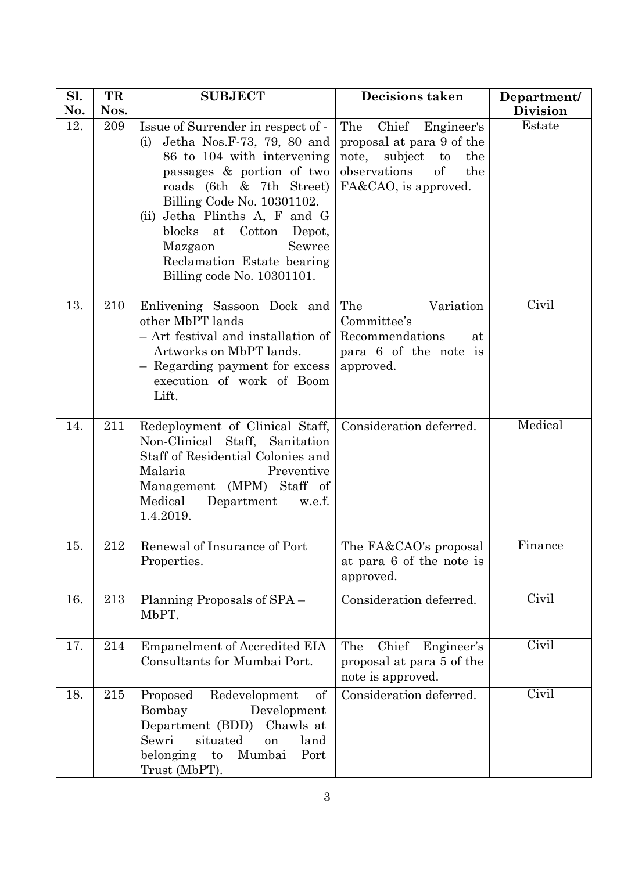| Sl. | TR   | <b>SUBJECT</b>                                                                                                                                                                                                                                                                                                                            | <b>Decisions taken</b>                                                                                                                  | Department/               |
|-----|------|-------------------------------------------------------------------------------------------------------------------------------------------------------------------------------------------------------------------------------------------------------------------------------------------------------------------------------------------|-----------------------------------------------------------------------------------------------------------------------------------------|---------------------------|
| No. | Nos. |                                                                                                                                                                                                                                                                                                                                           |                                                                                                                                         | <b>Division</b>           |
| 12. | 209  | Issue of Surrender in respect of -<br>Jetha Nos.F-73, 79, 80 and<br>(i)<br>86 to 104 with intervening<br>passages & portion of two<br>roads (6th & 7th Street)<br>Billing Code No. 10301102.<br>(ii) Jetha Plinths A, F and G<br>blocks at Cotton Depot,<br>Sewree<br>Mazgaon<br>Reclamation Estate bearing<br>Billing code No. 10301101. | Chief Engineer's<br>The<br>proposal at para 9 of the<br>note,<br>subject to<br>the<br>observations<br>of<br>the<br>FA&CAO, is approved. | Estate                    |
| 13. | 210  | Enlivening Sassoon Dock and<br>other MbPT lands<br>- Art festival and installation of<br>Artworks on MbPT lands.<br>- Regarding payment for excess<br>execution of work of Boom<br>Lift.                                                                                                                                                  | Variation<br>The<br>Committee's<br>Recommendations<br>at<br>para 6 of the note is<br>approved.                                          | Civil                     |
| 14. | 211  | Redeployment of Clinical Staff,<br>Non-Clinical Staff, Sanitation<br>Staff of Residential Colonies and<br>Malaria<br>Preventive<br>Management (MPM) Staff of<br>Medical<br>Department<br>w.e.f.<br>1.4.2019.                                                                                                                              | Consideration deferred.                                                                                                                 | Medical                   |
| 15. | 212  | Renewal of Insurance of Port<br>Properties.                                                                                                                                                                                                                                                                                               | The FA&CAO's proposal<br>at para 6 of the note is<br>approved.                                                                          | Finance                   |
| 16. | 213  | Planning Proposals of SPA –<br>MbPT.                                                                                                                                                                                                                                                                                                      | Consideration deferred.                                                                                                                 | Civil                     |
| 17. | 214  | <b>Empanelment of Accredited EIA</b><br>Consultants for Mumbai Port.                                                                                                                                                                                                                                                                      | The<br>Chief<br>Engineer's<br>proposal at para 5 of the<br>note is approved.                                                            | $\overline{\text{Civil}}$ |
| 18. | 215  | Redevelopment<br>Proposed<br>of<br>Bombay<br>Development<br>Department (BDD)<br>Chawls at<br>situated<br>Sewri<br>land<br>on<br>Mumbai<br>belonging to<br>Port<br>Trust (MbPT).                                                                                                                                                           | Consideration deferred.                                                                                                                 | Civil                     |